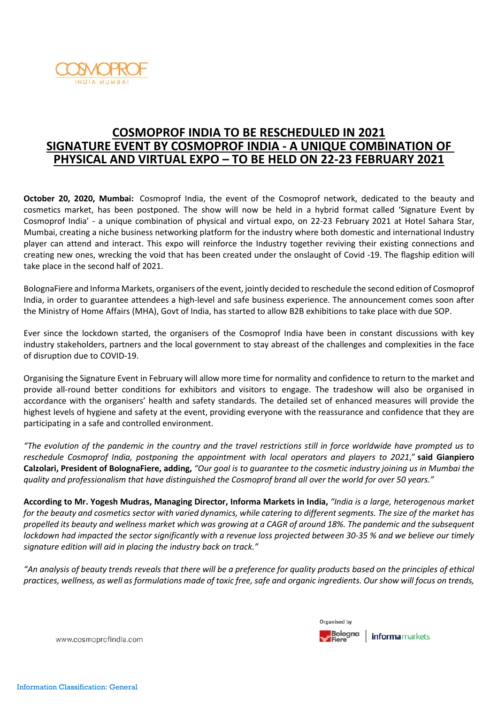

# **COSMOPROF INDIA TO BE RESCHEDULED IN 2021 SIGNATURE EVENT BY COSMOPROF INDIA - A UNIQUE COMBINATION OF PHYSICAL AND VIRTUAL EXPO – TO BE HELD ON 22-23 FEBRUARY 2021**

**October 20, 2020, Mumbai:** Cosmoprof India, the event of the Cosmoprof network, dedicated to the beauty and cosmetics market, has been postponed. The show will now be held in a hybrid format called 'Signature Event by Cosmoprof India' - a unique combination of physical and virtual expo, on 22-23 February 2021 at Hotel Sahara Star, Mumbai, creating a niche business networking platform for the industry where both domestic and international Industry player can attend and interact. This expo will reinforce the Industry together reviving their existing connections and creating new ones, wrecking the void that has been created under the onslaught of Covid -19. The flagship edition will take place in the second half of 2021.

BolognaFiere and Informa Markets, organisers of the event, jointly decided to reschedule the second edition of Cosmoprof India, in order to guarantee attendees a high-level and safe business experience. The announcement comes soon after the Ministry of Home Affairs (MHA), Govt of India, has started to allow B2B exhibitions to take place with due SOP.

Ever since the lockdown started, the organisers of the Cosmoprof India have been in constant discussions with key industry stakeholders, partners and the local government to stay abreast of the challenges and complexities in the face of disruption due to COVID-19.

Organising the Signature Event in February will allow more time for normality and confidence to return to the market and provide all-round better conditions for exhibitors and visitors to engage. The tradeshow will also be organised in accordance with the organisers' health and safety standards. The detailed set of enhanced measures will provide the highest levels of hygiene and safety at the event, providing everyone with the reassurance and confidence that they are participating in a safe and controlled environment.

"The evolution of the pandemic in the country and the travel restrictions still in force worldwide have prompted us to *reschedule Cosmoprof India, postponing the appointment with local operators and players to 2021*," **said Gianpiero** Calzolari, President of BolognaFiere, adding, "Our goal is to guarantee to the cosmetic industry joining us in Mumbai the quality and professionalism that have distinguished the Cosmoprof brand all over the world for over 50 years."

According to Mr. Yogesh Mudras, Managing Director, Informa Markets in India, "India is a large, heterogenous market for the beauty and cosmetics sector with varied dynamics, while catering to different segments. The size of the market has propelled its beauty and wellness market which was growing at a CAGR of around 18%. The pandemic and the subsequent lockdown had impacted the sector significantly with a revenue loss projected between 30-35 % and we believe our timely *signature edition will aid in placing the industry back on track."*

"An analysis of beauty trends reveals that there will be a preference for quality products based on the principles of ethical practices, wellness, as well as formulations made of toxic free, safe and organic ingredients. Our show will focus on trends,



www.cosmoprofindia.com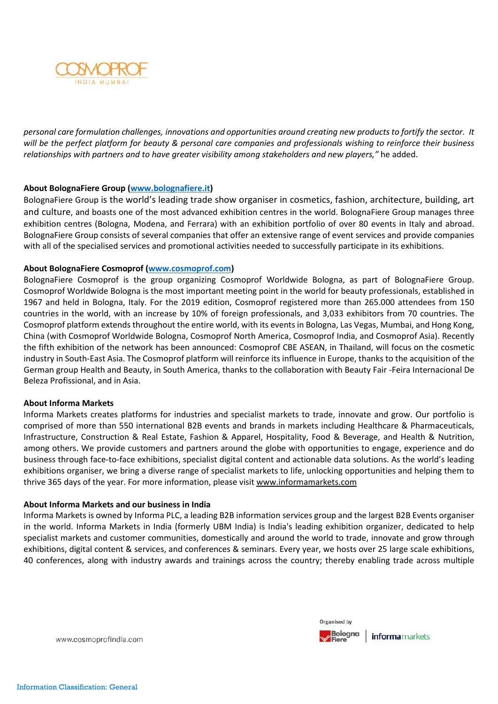

personal care formulation challenges, innovations and opportunities around creating new products to fortify the sector. It will be the perfect platform for beauty & personal care companies and professionals wishing to reinforce their business *relationships with partners and to have greater visibility among stakeholders and new players,"* he added.

## **About BolognaFiere Group [\(www.bolognafiere.it\)](http://www.bolognafiere.it/)**

BolognaFiere Group is the world's leading trade show organiser in cosmetics, fashion, architecture, building, art and culture, and boasts one of the most advanced exhibition centres in the world. BolognaFiere Group manages three exhibition centres (Bologna, Modena, and Ferrara) with an exhibition portfolio of over 80 events in Italy and abroad. BolognaFiere Group consists of several companies that offer an extensive range of event services and provide companies with all of the specialised services and promotional activities needed to successfully participate in its exhibitions.

## **About BolognaFiere Cosmoprof [\(www.cosmoprof.com\)](http://www.cosmoprof.com/)**

BolognaFiere Cosmoprof is the group organizing Cosmoprof Worldwide Bologna, as part of BolognaFiere Group. Cosmoprof Worldwide Bologna is the most important meeting point in the world for beauty professionals, established in 1967 and held in Bologna, Italy. For the 2019 edition, Cosmoprof registered more than 265.000 attendees from 150 countries in the world, with an increase by 10% of foreign professionals, and 3,033 exhibitors from 70 countries. The Cosmoprof platform extends throughout the entire world, with its events in Bologna, Las Vegas, Mumbai, and Hong Kong, China (with Cosmoprof Worldwide Bologna, Cosmoprof North America, Cosmoprof India, and Cosmoprof Asia). Recently the fifth exhibition of the network has been announced: Cosmoprof CBE ASEAN, in Thailand, will focus on the cosmetic industry in South-East Asia. The Cosmoprof platform will reinforce its influence in Europe, thanks to the acquisition of the German group Health and Beauty, in South America, thanks to the collaboration with Beauty Fair -Feira Internacional De Beleza Profissional, and in Asia.

## **About Informa Markets**

Informa Markets creates platforms for industries and specialist markets to trade, innovate and grow. Our portfolio is comprised of more than 550 international B2B events and brands in markets including Healthcare & Pharmaceuticals, Infrastructure, Construction & Real Estate, Fashion & Apparel, Hospitality, Food & Beverage, and Health & Nutrition, among others. We provide customers and partners around the globe with opportunities to engage, experience and do business through face-to-face exhibitions, specialist digital content and actionable data solutions. As the world's leading exhibitions organiser, we bring a diverse range of specialist markets to life, unlocking opportunities and helping them to thrive 365 days of the year. For more information, please visit [www.informamarkets.com](http://www.informamarkets.com/)

## **About Informa Markets and our business in India**

Informa Markets is owned by Informa PLC, a leading B2B information services group and the largest B2B Events organiser in the world. Informa Markets in India (formerly UBM India) is India's leading exhibition organizer, dedicated to help specialist markets and customer communities, domestically and around the world to trade, innovate and grow through exhibitions, digital content & services, and conferences & seminars. Every year, we hosts over 25 large scale exhibitions, 40 conferences, along with industry awards and trainings across the country; thereby enabling trade across multiple



www.cosmoprofindia.com